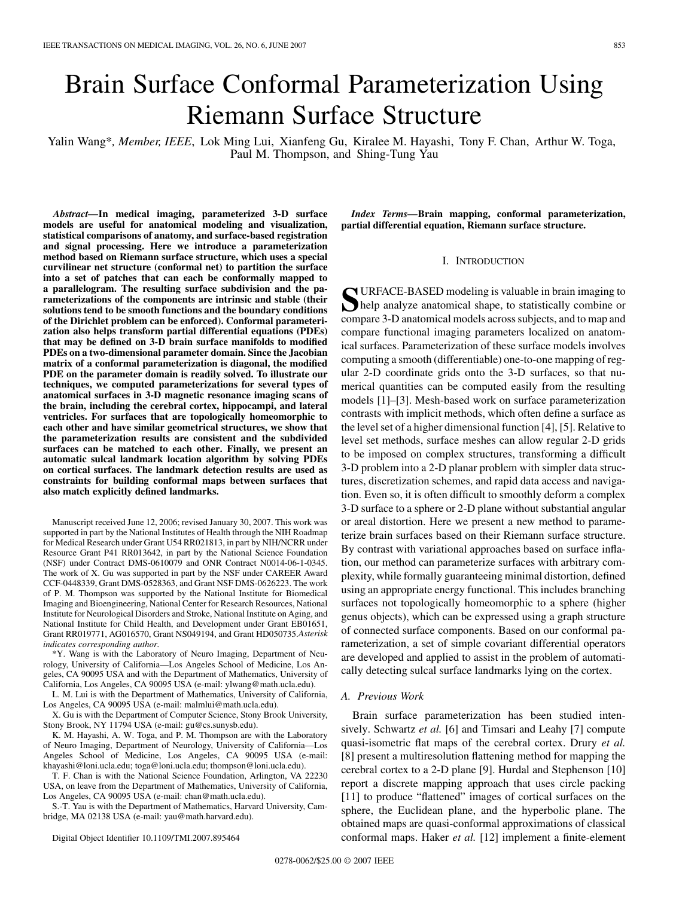# Brain Surface Conformal Parameterization Using Riemann Surface Structure

Yalin Wang\**, Member, IEEE*, Lok Ming Lui, Xianfeng Gu, Kiralee M. Hayashi, Tony F. Chan, Arthur W. Toga, Paul M. Thompson, and Shing-Tung Yau

*Abstract—***In medical imaging, parameterized 3-D surface models are useful for anatomical modeling and visualization, statistical comparisons of anatomy, and surface-based registration and signal processing. Here we introduce a parameterization method based on Riemann surface structure, which uses a special curvilinear net structure (conformal net) to partition the surface into a set of patches that can each be conformally mapped to a parallelogram. The resulting surface subdivision and the parameterizations of the components are intrinsic and stable (their solutions tend to be smooth functions and the boundary conditions of the Dirichlet problem can be enforced). Conformal parameterization also helps transform partial differential equations (PDEs) that may be defined on 3-D brain surface manifolds to modified PDEs on a two-dimensional parameter domain. Since the Jacobian matrix of a conformal parameterization is diagonal, the modified PDE on the parameter domain is readily solved. To illustrate our techniques, we computed parameterizations for several types of anatomical surfaces in 3-D magnetic resonance imaging scans of the brain, including the cerebral cortex, hippocampi, and lateral ventricles. For surfaces that are topologically homeomorphic to each other and have similar geometrical structures, we show that the parameterization results are consistent and the subdivided surfaces can be matched to each other. Finally, we present an automatic sulcal landmark location algorithm by solving PDEs on cortical surfaces. The landmark detection results are used as constraints for building conformal maps between surfaces that also match explicitly defined landmarks.**

Manuscript received June 12, 2006; revised January 30, 2007. This work was supported in part by the National Institutes of Health through the NIH Roadmap for Medical Research under Grant U54 RR021813, in part by NIH/NCRR under Resource Grant P41 RR013642, in part by the National Science Foundation (NSF) under Contract DMS-0610079 and ONR Contract N0014-06-1-0345. The work of X. Gu was supported in part by the NSF under CAREER Award CCF-0448339, Grant DMS-0528363, and Grant NSF DMS-0626223. The work of P. M. Thompson was supported by the National Institute for Biomedical Imaging and Bioengineering, National Center for Research Resources, National Institute for Neurological Disorders and Stroke, National Institute on Aging, and National Institute for Child Health, and Development under Grant EB01651, Grant RR019771, AG016570, Grant NS049194, and Grant HD050735.*Asterisk indicates corresponding author.*

\*Y. Wang is with the Laboratory of Neuro Imaging, Department of Neurology, University of California—Los Angeles School of Medicine, Los Angeles, CA 90095 USA and with the Department of Mathematics, University of California, Los Angeles, CA 90095 USA (e-mail: ylwang@math.ucla.edu).

L. M. Lui is with the Department of Mathematics, University of California, Los Angeles, CA 90095 USA (e-mail: malmlui@math.ucla.edu).

X. Gu is with the Department of Computer Science, Stony Brook University, Stony Brook, NY 11794 USA (e-mail: gu@cs.sunysb.edu).

K. M. Hayashi, A. W. Toga, and P. M. Thompson are with the Laboratory of Neuro Imaging, Department of Neurology, University of California—Los Angeles School of Medicine, Los Angeles, CA 90095 USA (e-mail: khayashi@loni.ucla.edu; toga@loni.ucla.edu; thompson@loni.ucla.edu).

T. F. Chan is with the National Science Foundation, Arlington, VA 22230 USA, on leave from the Department of Mathematics, University of California, Los Angeles, CA 90095 USA (e-mail: chan@math.ucla.edu).

S.-T. Yau is with the Department of Mathematics, Harvard University, Cambridge, MA 02138 USA (e-mail: yau@math.harvard.edu).

Digital Object Identifier 10.1109/TMI.2007.895464

*Index Terms—***Brain mapping, conformal parameterization, partial differential equation, Riemann surface structure.**

# I. INTRODUCTION

**S**URFACE-BASED modeling is valuable in brain imaging to<br>help analyze anatomical shape, to statistically combine or<br>compare 3. D anatomical models agrees subjects, and to map and compare 3-D anatomical models across subjects, and to map and compare functional imaging parameters localized on anatomical surfaces. Parameterization of these surface models involves computing a smooth (differentiable) one-to-one mapping of regular 2-D coordinate grids onto the 3-D surfaces, so that numerical quantities can be computed easily from the resulting models [1]–[3]. Mesh-based work on surface parameterization contrasts with implicit methods, which often define a surface as the level set of a higher dimensional function [4], [5]. Relative to level set methods, surface meshes can allow regular 2-D grids to be imposed on complex structures, transforming a difficult 3-D problem into a 2-D planar problem with simpler data structures, discretization schemes, and rapid data access and navigation. Even so, it is often difficult to smoothly deform a complex 3-D surface to a sphere or 2-D plane without substantial angular or areal distortion. Here we present a new method to parameterize brain surfaces based on their Riemann surface structure. By contrast with variational approaches based on surface inflation, our method can parameterize surfaces with arbitrary complexity, while formally guaranteeing minimal distortion, defined using an appropriate energy functional. This includes branching surfaces not topologically homeomorphic to a sphere (higher genus objects), which can be expressed using a graph structure of connected surface components. Based on our conformal parameterization, a set of simple covariant differential operators are developed and applied to assist in the problem of automatically detecting sulcal surface landmarks lying on the cortex.

# *A. Previous Work*

Brain surface parameterization has been studied intensively. Schwartz *et al.* [6] and Timsari and Leahy [7] compute quasi-isometric flat maps of the cerebral cortex. Drury *et al.* [8] present a multiresolution flattening method for mapping the cerebral cortex to a 2-D plane [9]. Hurdal and Stephenson [10] report a discrete mapping approach that uses circle packing [11] to produce "flattened" images of cortical surfaces on the sphere, the Euclidean plane, and the hyperbolic plane. The obtained maps are quasi-conformal approximations of classical conformal maps. Haker *et al.* [12] implement a finite-element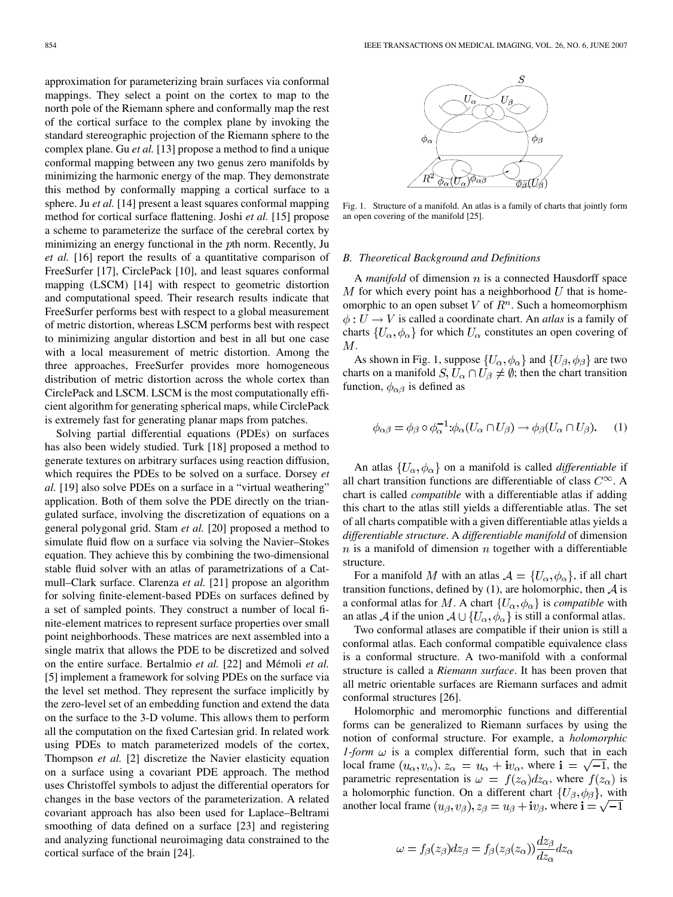approximation for parameterizing brain surfaces via conformal mappings. They select a point on the cortex to map to the north pole of the Riemann sphere and conformally map the rest of the cortical surface to the complex plane by invoking the standard stereographic projection of the Riemann sphere to the complex plane. Gu *et al.* [13] propose a method to find a unique conformal mapping between any two genus zero manifolds by minimizing the harmonic energy of the map. They demonstrate this method by conformally mapping a cortical surface to a sphere. Ju *et al.* [14] present a least squares conformal mapping method for cortical surface flattening. Joshi *et al.* [15] propose a scheme to parameterize the surface of the cerebral cortex by minimizing an energy functional in the pth norm. Recently, Ju *et al.* [16] report the results of a quantitative comparison of FreeSurfer [17], CirclePack [10], and least squares conformal mapping (LSCM) [14] with respect to geometric distortion and computational speed. Their research results indicate that FreeSurfer performs best with respect to a global measurement of metric distortion, whereas LSCM performs best with respect to minimizing angular distortion and best in all but one case with a local measurement of metric distortion. Among the three approaches, FreeSurfer provides more homogeneous distribution of metric distortion across the whole cortex than CirclePack and LSCM. LSCM is the most computationally efficient algorithm for generating spherical maps, while CirclePack is extremely fast for generating planar maps from patches.

Solving partial differential equations (PDEs) on surfaces has also been widely studied. Turk [18] proposed a method to generate textures on arbitrary surfaces using reaction diffusion, which requires the PDEs to be solved on a surface. Dorsey *et al.* [19] also solve PDEs on a surface in a "virtual weathering" application. Both of them solve the PDE directly on the triangulated surface, involving the discretization of equations on a general polygonal grid. Stam *et al.* [20] proposed a method to simulate fluid flow on a surface via solving the Navier–Stokes equation. They achieve this by combining the two-dimensional stable fluid solver with an atlas of parametrizations of a Catmull–Clark surface. Clarenza *et al.* [21] propose an algorithm for solving finite-element-based PDEs on surfaces defined by a set of sampled points. They construct a number of local finite-element matrices to represent surface properties over small point neighborhoods. These matrices are next assembled into a single matrix that allows the PDE to be discretized and solved on the entire surface. Bertalmio *et al.* [22] and Mémoli *et al.* [5] implement a framework for solving PDEs on the surface via the level set method. They represent the surface implicitly by the zero-level set of an embedding function and extend the data on the surface to the 3-D volume. This allows them to perform all the computation on the fixed Cartesian grid. In related work using PDEs to match parameterized models of the cortex, Thompson *et al.* [2] discretize the Navier elasticity equation on a surface using a covariant PDE approach. The method uses Christoffel symbols to adjust the differential operators for changes in the base vectors of the parameterization. A related covariant approach has also been used for Laplace–Beltrami smoothing of data defined on a surface [23] and registering and analyzing functional neuroimaging data constrained to the cortical surface of the brain [24].



Fig. 1. Structure of a manifold. An atlas is a family of charts that jointly form an open covering of the manifold [25].

### *B. Theoretical Background and Definitions*

A *manifold* of dimension  $n$  is a connected Hausdorff space M for which every point has a neighborhood  $U$  that is homeomorphic to an open subset  $V$  of  $R<sup>n</sup>$ . Such a homeomorphism  $\phi: U \to V$  is called a coordinate chart. An *atlas* is a family of charts  $\{U_{\alpha}, \phi_{\alpha}\}\$  for which  $U_{\alpha}$  constitutes an open covering of М.

As shown in Fig. 1, suppose  $\{U_{\alpha}, \phi_{\alpha}\}\$  and  $\{U_{\beta}, \phi_{\beta}\}\$  are two charts on a manifold  $S, U_{\alpha} \cap U_{\beta} \neq \emptyset$ ; then the chart transition function,  $\phi_{\alpha\beta}$  is defined as

$$
\phi_{\alpha\beta} = \phi_{\beta} \circ \phi_{\alpha}^{-1} : \phi_{\alpha}(U_{\alpha} \cap U_{\beta}) \to \phi_{\beta}(U_{\alpha} \cap U_{\beta}). \tag{1}
$$

An atlas  $\{U_{\alpha}, \phi_{\alpha}\}\$  on a manifold is called *differentiable* if all chart transition functions are differentiable of class  $C^{\infty}$ . A chart is called *compatible* with a differentiable atlas if adding this chart to the atlas still yields a differentiable atlas. The set of all charts compatible with a given differentiable atlas yields a *differentiable structure*. A *differentiable manifold* of dimension  $n$  is a manifold of dimension  $n$  together with a differentiable structure.

For a manifold M with an atlas  $A = \{U_{\alpha}, \phi_{\alpha}\}\$ , if all chart transition functions, defined by (1), are holomorphic, then  $A$  is a conformal atlas for M. A chart  $\{U_{\alpha}, \phi_{\alpha}\}\$ is *compatible* with an atlas A if the union  $A \cup \{U_{\alpha}, \phi_{\alpha}\}\$ is still a conformal atlas.

Two conformal atlases are compatible if their union is still a conformal atlas. Each conformal compatible equivalence class is a conformal structure. A two-manifold with a conformal structure is called a *Riemann surface*. It has been proven that all metric orientable surfaces are Riemann surfaces and admit conformal structures [26].

Holomorphic and meromorphic functions and differential forms can be generalized to Riemann surfaces by using the notion of conformal structure. For example, a *holomorphic 1-form*  $\omega$  is a complex differential form, such that in each local frame  $(u_{\alpha}, v_{\alpha})$ ,  $z_{\alpha} = u_{\alpha} + i v_{\alpha}$ , where  $i = \sqrt{-1}$ , the parametric representation is  $\omega = f(z_{\alpha})dz_{\alpha}$ , where  $f(z_{\alpha})$  is a holomorphic function. On a different chart  $\{U_\beta, \phi_\beta\}$ , with another local frame  $(u_{\beta}, v_{\beta}), z_{\beta} = u_{\beta} + iv_{\beta}$ , where  $\mathbf{i} = \sqrt{-1}$ 

$$
\omega = f_{\beta}(z_{\beta})dz_{\beta} = f_{\beta}(z_{\beta}(z_{\alpha}))\frac{dz_{\beta}}{dz_{\alpha}}dz_{\alpha}
$$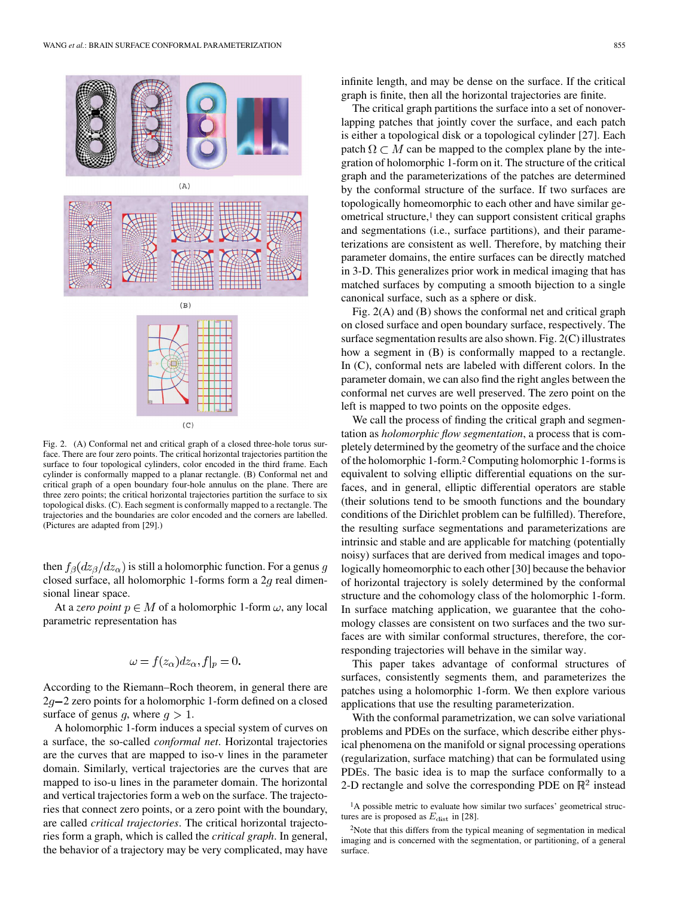

Fig. 2. (A) Conformal net and critical graph of a closed three-hole torus surface. There are four zero points. The critical horizontal trajectories partition the surface to four topological cylinders, color encoded in the third frame. Each cylinder is conformally mapped to a planar rectangle. (B) Conformal net and critical graph of a open boundary four-hole annulus on the plane. There are three zero points; the critical horizontal trajectories partition the surface to six topological disks. (C). Each segment is conformally mapped to a rectangle. The trajectories and the boundaries are color encoded and the corners are labelled. (Pictures are adapted from [29].)

then  $f_{\beta}(dz_{\beta}/dz_{\alpha})$  is still a holomorphic function. For a genus g closed surface, all holomorphic 1-forms form a  $2q$  real dimensional linear space.

At a *zero point*  $p \in M$  of a holomorphic 1-form  $\omega$ , any local parametric representation has

$$
\omega = f(z_{\alpha})dz_{\alpha}, f|_{p} = 0.
$$

According to the Riemann–Roch theorem, in general there are  $2g-2$  zero points for a holomorphic 1-form defined on a closed surface of genus q, where  $q > 1$ .

A holomorphic 1-form induces a special system of curves on a surface, the so-called *conformal net*. Horizontal trajectories are the curves that are mapped to iso-v lines in the parameter domain. Similarly, vertical trajectories are the curves that are mapped to iso-u lines in the parameter domain. The horizontal and vertical trajectories form a web on the surface. The trajectories that connect zero points, or a zero point with the boundary, are called *critical trajectories*. The critical horizontal trajectories form a graph, which is called the *critical graph*. In general, the behavior of a trajectory may be very complicated, may have

infinite length, and may be dense on the surface. If the critical graph is finite, then all the horizontal trajectories are finite.

The critical graph partitions the surface into a set of nonoverlapping patches that jointly cover the surface, and each patch is either a topological disk or a topological cylinder [27]. Each patch  $\Omega \subset M$  can be mapped to the complex plane by the integration of holomorphic 1-form on it. The structure of the critical graph and the parameterizations of the patches are determined by the conformal structure of the surface. If two surfaces are topologically homeomorphic to each other and have similar geometrical structure,<sup>1</sup> they can support consistent critical graphs and segmentations (i.e., surface partitions), and their parameterizations are consistent as well. Therefore, by matching their parameter domains, the entire surfaces can be directly matched in 3-D. This generalizes prior work in medical imaging that has matched surfaces by computing a smooth bijection to a single canonical surface, such as a sphere or disk.

Fig. 2(A) and (B) shows the conformal net and critical graph on closed surface and open boundary surface, respectively. The surface segmentation results are also shown. Fig. 2(C) illustrates how a segment in (B) is conformally mapped to a rectangle. In (C), conformal nets are labeled with different colors. In the parameter domain, we can also find the right angles between the conformal net curves are well preserved. The zero point on the left is mapped to two points on the opposite edges.

We call the process of finding the critical graph and segmentation as *holomorphic flow segmentation*, a process that is completely determined by the geometry of the surface and the choice of the holomorphic 1-form.2 Computing holomorphic 1-forms is equivalent to solving elliptic differential equations on the surfaces, and in general, elliptic differential operators are stable (their solutions tend to be smooth functions and the boundary conditions of the Dirichlet problem can be fulfilled). Therefore, the resulting surface segmentations and parameterizations are intrinsic and stable and are applicable for matching (potentially noisy) surfaces that are derived from medical images and topologically homeomorphic to each other [30] because the behavior of horizontal trajectory is solely determined by the conformal structure and the cohomology class of the holomorphic 1-form. In surface matching application, we guarantee that the cohomology classes are consistent on two surfaces and the two surfaces are with similar conformal structures, therefore, the corresponding trajectories will behave in the similar way.

This paper takes advantage of conformal structures of surfaces, consistently segments them, and parameterizes the patches using a holomorphic 1-form. We then explore various applications that use the resulting parameterization.

With the conformal parametrization, we can solve variational problems and PDEs on the surface, which describe either physical phenomena on the manifold or signal processing operations (regularization, surface matching) that can be formulated using PDEs. The basic idea is to map the surface conformally to a 2-D rectangle and solve the corresponding PDE on  $\mathbb{R}^2$  instead

<sup>1</sup>A possible metric to evaluate how similar two surfaces' geometrical structures are is proposed as  $E_{\text{dist}}$  in [28].

<sup>2</sup>Note that this differs from the typical meaning of segmentation in medical imaging and is concerned with the segmentation, or partitioning, of a general surface.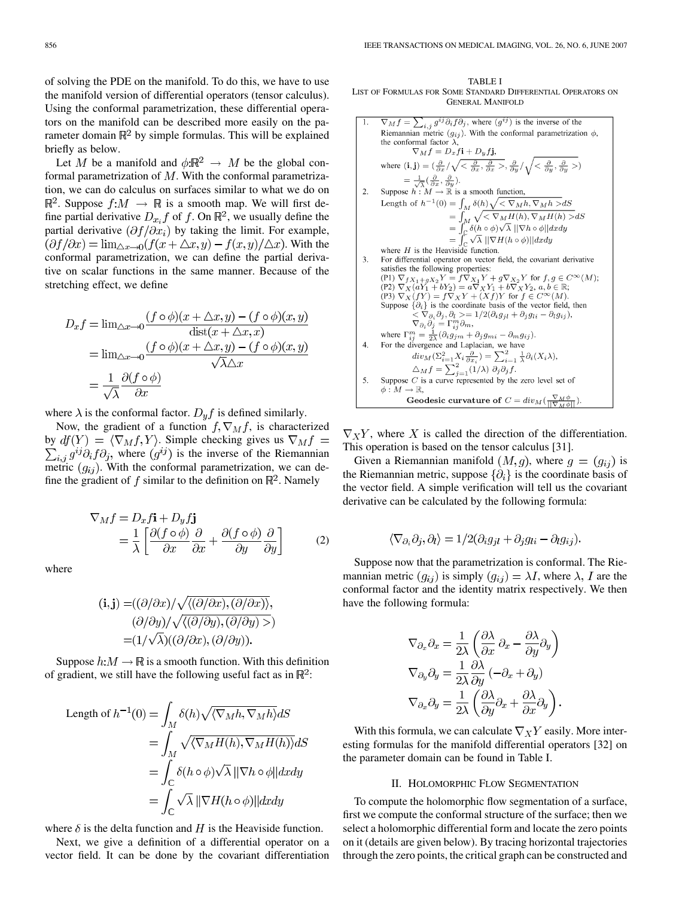of solving the PDE on the manifold. To do this, we have to use the manifold version of differential operators (tensor calculus). Using the conformal parametrization, these differential operators on the manifold can be described more easily on the parameter domain  $\mathbb{R}^2$  by simple formulas. This will be explained briefly as below.

Let M be a manifold and  $\phi : \mathbb{R}^2 \to M$  be the global conformal parametrization of  $M$ . With the conformal parametrization, we can do calculus on surfaces similar to what we do on  $\mathbb{R}^2$ . Suppose  $f:M \to \mathbb{R}$  is a smooth map. We will first define partial derivative  $D_{x_i} f$  of f. On  $\mathbb{R}^2$ , we usually define the partial derivative  $\left(\frac{\partial f}{\partial x_i}\right)$  by taking the limit. For example,  $(\partial f/\partial x) = \lim_{\Delta x \to 0} (f(x + \Delta x, y) - f(x, y)/\Delta x)$ . With the conformal parametrization, we can define the partial derivative on scalar functions in the same manner. Because of the stretching effect, we define

$$
D_x f = \lim_{\Delta x \to 0} \frac{(f \circ \phi)(x + \Delta x, y) - (f \circ \phi)(x, y)}{\text{dist}(x + \Delta x, x)}
$$
  
= 
$$
\lim_{\Delta x \to 0} \frac{(f \circ \phi)(x + \Delta x, y) - (f \circ \phi)(x, y)}{\sqrt{\lambda} \Delta x}
$$
  
= 
$$
\frac{1}{\sqrt{\lambda}} \frac{\partial (f \circ \phi)}{\partial x}
$$

where  $\lambda$  is the conformal factor.  $D_y f$  is defined similarly.

Now, the gradient of a function  $f, \nabla_M f$ , is characterized by  $df(Y) = \langle \nabla_M f, Y \rangle$ . Simple checking gives us  $\nabla_M f$  =  $\sum_{i,j} g^{ij} \partial_i f \partial_j$ , where  $(g^{ij})$  is the inverse of the Riemannian metric  $(g_{ij})$ . With the conformal parametrization, we can define the gradient of f similar to the definition on  $\mathbb{R}^2$ . Namely

$$
\nabla_M f = D_x f \mathbf{i} + D_y f \mathbf{j}
$$
  
=  $\frac{1}{\lambda} \left[ \frac{\partial (f \circ \phi)}{\partial x} \frac{\partial}{\partial x} + \frac{\partial (f \circ \phi)}{\partial y} \frac{\partial}{\partial y} \right]$  (2)

where

$$
(\mathbf{i}, \mathbf{j}) = ((\partial/\partial x)/\sqrt{\langle(\partial/\partial x), (\partial/\partial x)\rangle},
$$
  

$$
(\partial/\partial y)/\sqrt{\langle(\partial/\partial y), (\partial/\partial y)\rangle},
$$
  

$$
= (1/\sqrt{\lambda})((\partial/\partial x), (\partial/\partial y)).
$$

Suppose  $h: M \to \mathbb{R}$  is a smooth function. With this definition of gradient, we still have the following useful fact as in  $\mathbb{R}^2$ .

Length of 
$$
h^{-1}(0) = \int_M \delta(h) \sqrt{\langle \nabla_M h, \nabla_M h \rangle} dS
$$
  
\n
$$
= \int_M \sqrt{\langle \nabla_M H(h), \nabla_M H(h) \rangle} dS
$$
\n
$$
= \int_C \delta(h \circ \phi) \sqrt{\lambda} || \nabla h \circ \phi || dxdy
$$
\n
$$
= \int_C \sqrt{\lambda} || \nabla H(h \circ \phi) || dxdy
$$

where  $\delta$  is the delta function and H is the Heaviside function.

Next, we give a definition of a differential operator on a vector field. It can be done by the covariant differentiation

TABLE I LIST OF FORMULAS FOR SOME STANDARD DIFFERENTIAL OPERATORS ON GENERAL MANIFOLD

\n- 1. 
$$
\nabla_{M} f = \sum_{i,j} g^{ij} \partial_i f \partial_j
$$
, where  $(g^{ij})$  is the inverse of the Riemannian metric  $(g_{ij})$ . With the conformal parametrization  $\phi$ , the conformal factor  $\lambda$ ,  $\nabla_{M} f = D_x f \mathbf{i} + D_y f \mathbf{j}$ , where  $(\mathbf{i}, \mathbf{j}) = (\frac{\partial}{\partial x} / \sqrt{< \frac{\partial}{\partial x}, \frac{\partial}{\partial x} > \frac{\partial}{\partial y}} / \sqrt{< \frac{\partial}{\partial y}, \frac{\partial}{\partial y} >}) = \frac{1}{\sqrt{\lambda}} (\frac{\partial}{\partial x}, \frac{\partial}{\partial y})$ .
\n- 2. Suppose  $h : M \to \mathbb{R}$  is a smooth function, Length of  $h^{-1}(0) = \int_M \delta(h) \sqrt{< \nabla_M h, \nabla_M h > dS} = \int_M \sqrt{< \nabla_M H(h), \nabla_M H(h) > dS} = \int_C \delta(h \circ \phi) \sqrt{\lambda} ||\nabla h \circ \phi|| dx dy = \int_C \sqrt{\lambda} ||\nabla H(h \circ \phi)|| dx dy = \int_C \sqrt{\lambda} ||\nabla H(h \circ \phi)|| dx dy = \int_C \sqrt{\lambda} ||\nabla H(h \circ \phi)|| dx dy = \int_C \sqrt{\lambda} ||\nabla H(h \circ \phi)|| dx dy$ , where  $H$  is the Heaviside function.
\n- 3. For differential operator on vector field, the covariant derivative satisfies the following properties:
\n- (P1)  $\nabla_f \chi_1 Y = f \nabla_X Y + f \nabla_X Y \Delta Y$  for  $f, g \in C^\infty(M)$ ;\n  $(\mathcal{P}2) \nabla_X (\Delta Y_1 + bY_2) = a \nabla_X Y_1 + b \nabla_X Y_2$ ,  $a, b \in \mathbb{R}$ ;\n  $(\mathcal{P}3) \nabla_X (fY) = f \nabla_X Y + (Xf)Y$  for  $f \in C^\infty(M)$ . Suppose  $\{\partial_i\}$  is the coordinate basis of the

 $\nabla_X Y$ , where X is called the direction of the differentiation. This operation is based on the tensor calculus [31].

Given a Riemannian manifold  $(M, g)$ , where  $g = (g_{ij})$  is the Riemannian metric, suppose  $\{\partial_i\}$  is the coordinate basis of the vector field. A simple verification will tell us the covariant derivative can be calculated by the following formula:

$$
\langle \nabla_{\partial_i} \partial_j, \partial_l \rangle = 1/2(\partial_i g_{jl} + \partial_j g_{li} - \partial_l g_{ij}).
$$

Suppose now that the parametrization is conformal. The Riemannian metric  $(g_{ij})$  is simply  $(g_{ij}) = \lambda I$ , where  $\lambda$ , I are the conformal factor and the identity matrix respectively. We then have the following formula:

$$
\nabla_{\partial_x} \partial_x = \frac{1}{2\lambda} \left( \frac{\partial \lambda}{\partial x} \partial_x - \frac{\partial \lambda}{\partial y} \partial_y \right)
$$

$$
\nabla_{\partial_y} \partial_y = \frac{1}{2\lambda} \frac{\partial \lambda}{\partial y} \left( -\partial_x + \partial_y \right)
$$

$$
\nabla_{\partial_x} \partial_y = \frac{1}{2\lambda} \left( \frac{\partial \lambda}{\partial y} \partial_x + \frac{\partial \lambda}{\partial x} \partial_y \right).
$$

With this formula, we can calculate  $\nabla_X Y$  easily. More interesting formulas for the manifold differential operators [32] on the parameter domain can be found in Table I.

## II. HOLOMORPHIC FLOW SEGMENTATION

To compute the holomorphic flow segmentation of a surface, first we compute the conformal structure of the surface; then we select a holomorphic differential form and locate the zero points on it (details are given below). By tracing horizontal trajectories through the zero points, the critical graph can be constructed and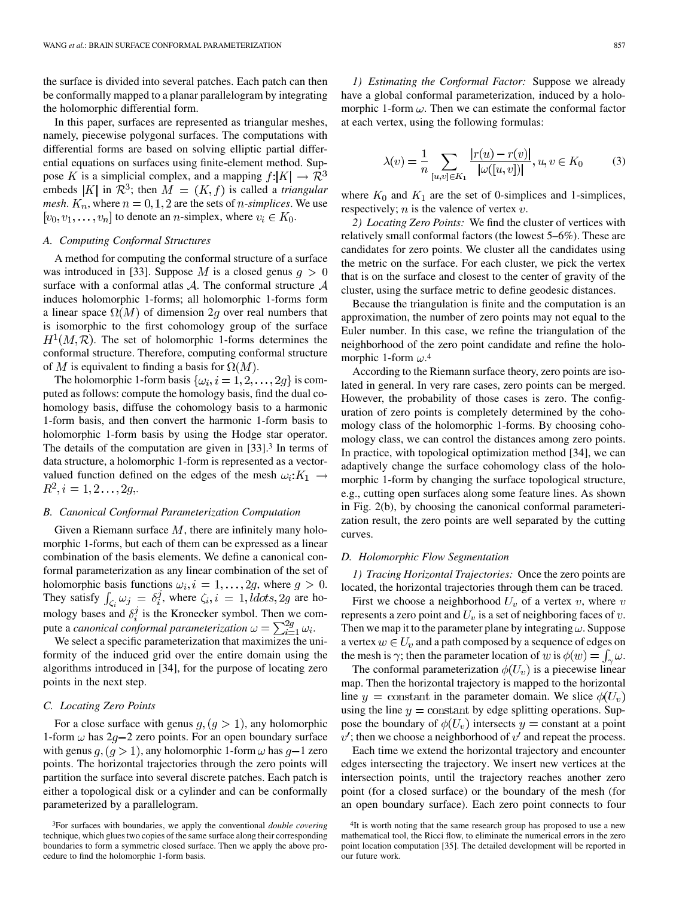the surface is divided into several patches. Each patch can then be conformally mapped to a planar parallelogram by integrating the holomorphic differential form.

In this paper, surfaces are represented as triangular meshes, namely, piecewise polygonal surfaces. The computations with differential forms are based on solving elliptic partial differential equations on surfaces using finite-element method. Suppose K is a simplicial complex, and a mapping  $f:|K| \to \mathbb{R}^3$ embeds |K| in  $\mathcal{R}^3$ ; then  $M = (K, f)$  is called a *triangular mesh.*  $K_n$ , where  $n = 0, 1, 2$  are the sets of *n*-simplices. We use  $[v_0, v_1, \ldots, v_n]$  to denote an *n*-simplex, where  $v_i \in K_0$ .

# *A. Computing Conformal Structures*

A method for computing the conformal structure of a surface was introduced in [33]. Suppose M is a closed genus  $q > 0$ surface with a conformal atlas  $A$ . The conformal structure  $A$ induces holomorphic 1-forms; all holomorphic 1-forms form a linear space  $\Omega(M)$  of dimension 2q over real numbers that is isomorphic to the first cohomology group of the surface  $H<sup>1</sup>(M,\mathcal{R})$ . The set of holomorphic 1-forms determines the conformal structure. Therefore, computing conformal structure of M is equivalent to finding a basis for  $\Omega(M)$ .

The holomorphic 1-form basis  $\{\omega_i, i = 1, 2, \dots, 2g\}$  is computed as follows: compute the homology basis, find the dual cohomology basis, diffuse the cohomology basis to a harmonic 1-form basis, and then convert the harmonic 1-form basis to holomorphic 1-form basis by using the Hodge star operator. The details of the computation are given in [33].<sup>3</sup> In terms of data structure, a holomorphic 1-form is represented as a vectorvalued function defined on the edges of the mesh  $\omega_i: K_1 \to$  $R^2, i = 1, 2, \ldots, 2g,$ 

# *B. Canonical Conformal Parameterization Computation*

Given a Riemann surface  $M$ , there are infinitely many holomorphic 1-forms, but each of them can be expressed as a linear combination of the basis elements. We define a canonical conformal parameterization as any linear combination of the set of holomorphic basis functions  $\omega_i$ ,  $i = 1, \ldots, 2g$ , where  $g > 0$ . They satisfy  $\int_{\zeta_i} \omega_j = \delta_i^j$ , where  $\zeta_i, i = 1$ , *ldots*, 2g are homology bases and  $\delta_i^j$  is the Kronecker symbol. Then we compute a *canonical conformal parameterization*  $\omega = \sum_{i=1}^{2g} \omega_i$ .

We select a specific parameterization that maximizes the uniformity of the induced grid over the entire domain using the algorithms introduced in [34], for the purpose of locating zero points in the next step.

## *C. Locating Zero Points*

For a close surface with genus  $q$ ,  $(q > 1)$ , any holomorphic 1-form  $\omega$  has 2g-2 zero points. For an open boundary surface with genus  $g, (g > 1)$ , any holomorphic 1-form  $\omega$  has  $g-1$  zero points. The horizontal trajectories through the zero points will partition the surface into several discrete patches. Each patch is either a topological disk or a cylinder and can be conformally parameterized by a parallelogram.

3For surfaces with boundaries, we apply the conventional *double covering* technique, which glues two copies of the same surface along their corresponding boundaries to form a symmetric closed surface. Then we apply the above procedure to find the holomorphic 1-form basis.

*1) Estimating the Conformal Factor:* Suppose we already have a global conformal parameterization, induced by a holomorphic 1-form  $\omega$ . Then we can estimate the conformal factor at each vertex, using the following formulas:

$$
\lambda(v) = \frac{1}{n} \sum_{[u,v] \in K_1} \frac{|r(u) - r(v)|}{|\omega([u,v])|}, u, v \in K_0
$$
 (3)

where  $K_0$  and  $K_1$  are the set of 0-simplices and 1-simplices, respectively;  $n$  is the valence of vertex  $v$ .

*2) Locating Zero Points:* We find the cluster of vertices with relatively small conformal factors (the lowest 5–6%). These are candidates for zero points. We cluster all the candidates using the metric on the surface. For each cluster, we pick the vertex that is on the surface and closest to the center of gravity of the cluster, using the surface metric to define geodesic distances.

Because the triangulation is finite and the computation is an approximation, the number of zero points may not equal to the Euler number. In this case, we refine the triangulation of the neighborhood of the zero point candidate and refine the holomorphic 1-form  $\omega$ .<sup>4</sup>

According to the Riemann surface theory, zero points are isolated in general. In very rare cases, zero points can be merged. However, the probability of those cases is zero. The configuration of zero points is completely determined by the cohomology class of the holomorphic 1-forms. By choosing cohomology class, we can control the distances among zero points. In practice, with topological optimization method [34], we can adaptively change the surface cohomology class of the holomorphic 1-form by changing the surface topological structure, e.g., cutting open surfaces along some feature lines. As shown in Fig. 2(b), by choosing the canonical conformal parameterization result, the zero points are well separated by the cutting curves.

# *D. Holomorphic Flow Segmentation*

*1) Tracing Horizontal Trajectories:* Once the zero points are located, the horizontal trajectories through them can be traced.

First we choose a neighborhood  $U_v$  of a vertex  $v$ , where  $v$ represents a zero point and  $U_v$  is a set of neighboring faces of  $v$ . Then we map it to the parameter plane by integrating  $\omega$ . Suppose a vertex  $w \in U_v$  and a path composed by a sequence of edges on the mesh is  $\gamma$ ; then the parameter location of w is  $\phi(w) = \int_{\gamma} \omega$ .

The conformal parameterization  $\phi(U_v)$  is a piecewise linear map. Then the horizontal trajectory is mapped to the horizontal line  $y = constant$  in the parameter domain. We slice  $\phi(U_v)$ using the line  $y = constant$  by edge splitting operations. Suppose the boundary of  $\phi(U_v)$  intersects  $y = constant$  at a point  $v'$ ; then we choose a neighborhood of  $v'$  and repeat the process.

Each time we extend the horizontal trajectory and encounter edges intersecting the trajectory. We insert new vertices at the intersection points, until the trajectory reaches another zero point (for a closed surface) or the boundary of the mesh (for an open boundary surface). Each zero point connects to four

<sup>&</sup>lt;sup>4</sup>It is worth noting that the same research group has proposed to use a new mathematical tool, the Ricci flow, to eliminate the numerical errors in the zero point location computation [35]. The detailed development will be reported in our future work.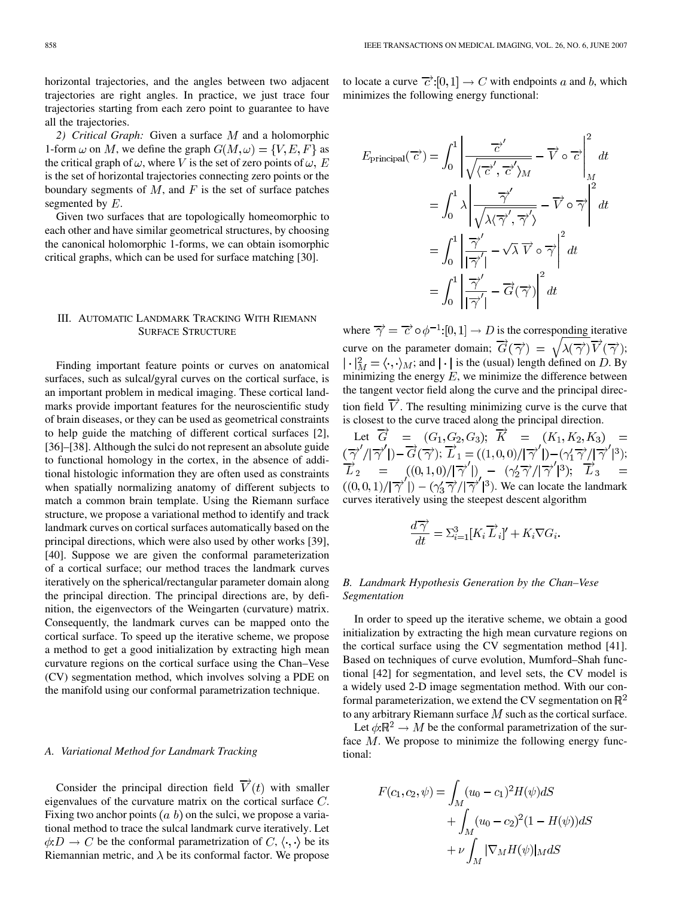horizontal trajectories, and the angles between two adjacent trajectories are right angles. In practice, we just trace four trajectories starting from each zero point to guarantee to have all the trajectories.

2) Critical Graph: Given a surface  $M$  and a holomorphic 1-form  $\omega$  on M, we define the graph  $G(M, \omega) = \{V, E, F\}$  as the critical graph of  $\omega$ , where V is the set of zero points of  $\omega$ , E is the set of horizontal trajectories connecting zero points or the boundary segments of  $M$ , and  $F$  is the set of surface patches segmented by  $E$ .

Given two surfaces that are topologically homeomorphic to each other and have similar geometrical structures, by choosing the canonical holomorphic 1-forms, we can obtain isomorphic critical graphs, which can be used for surface matching [30].

# III. AUTOMATIC LANDMARK TRACKING WITH RIEMANN SURFACE STRUCTURE

Finding important feature points or curves on anatomical surfaces, such as sulcal/gyral curves on the cortical surface, is an important problem in medical imaging. These cortical landmarks provide important features for the neuroscientific study of brain diseases, or they can be used as geometrical constraints to help guide the matching of different cortical surfaces [2], [36]–[38]. Although the sulci do not represent an absolute guide to functional homology in the cortex, in the absence of additional histologic information they are often used as constraints when spatially normalizing anatomy of different subjects to match a common brain template. Using the Riemann surface structure, we propose a variational method to identify and track landmark curves on cortical surfaces automatically based on the principal directions, which were also used by other works [39], [40]. Suppose we are given the conformal parameterization of a cortical surface; our method traces the landmark curves iteratively on the spherical/rectangular parameter domain along the principal direction. The principal directions are, by definition, the eigenvectors of the Weingarten (curvature) matrix. Consequently, the landmark curves can be mapped onto the cortical surface. To speed up the iterative scheme, we propose a method to get a good initialization by extracting high mean curvature regions on the cortical surface using the Chan–Vese (CV) segmentation method, which involves solving a PDE on the manifold using our conformal parametrization technique.

#### *A. Variational Method for Landmark Tracking*

Consider the principal direction field  $\overrightarrow{V}(t)$  with smaller eigenvalues of the curvature matrix on the cortical surface  $C$ . Fixing two anchor points  $(a, b)$  on the sulci, we propose a variational method to trace the sulcal landmark curve iteratively. Let  $\phi: D \to C$  be the conformal parametrization of  $C, \langle \cdot, \cdot \rangle$  be its Riemannian metric, and  $\lambda$  be its conformal factor. We propose

to locate a curve  $\overrightarrow{c}$ :  $[0,1] \rightarrow C$  with endpoints a and b, which minimizes the following energy functional:

$$
E_{\text{principal}}(\overrightarrow{c}) = \int_0^1 \left| \frac{\overrightarrow{c}'}{\sqrt{\overrightarrow{(c', \overrightarrow{c}')_M}}} - \overrightarrow{V} \circ \overrightarrow{c} \right|_M^2 dt
$$
  

$$
= \int_0^1 \lambda \left| \frac{\overrightarrow{\gamma}'}{\sqrt{\lambda(\overrightarrow{\gamma}, \overrightarrow{\gamma}')} - \overrightarrow{V} \circ \overrightarrow{\gamma} \right|^2 dt
$$
  

$$
= \int_0^1 \left| \frac{\overrightarrow{\gamma}'}{|\overrightarrow{\gamma}'|} - \sqrt{\lambda} \overrightarrow{V} \circ \overrightarrow{\gamma} \right|^2 dt
$$
  

$$
= \int_0^1 \left| \frac{\overrightarrow{\gamma}'}{|\overrightarrow{\gamma}'|} - \overrightarrow{G}(\overrightarrow{\gamma}) \right|^2 dt
$$

where  $\overrightarrow{\gamma} = \overrightarrow{c} \circ \phi^{-1}:[0,1] \rightarrow D$  is the corresponding iterative curve on the parameter domain;  $\overrightarrow{G}(\overrightarrow{\gamma}) = \sqrt{\lambda(\overrightarrow{\gamma})}\overrightarrow{V}(\overrightarrow{\gamma})$ ;  $|\cdot|_M^2 = \langle \cdot, \cdot \rangle_M$ ; and  $|\cdot|$  is the (usual) length defined on D. By minimizing the energy  $E$ , we minimize the difference between the tangent vector field along the curve and the principal direction field  $\overline{V}$ . The resulting minimizing curve is the curve that is closest to the curve traced along the principal direction.

Let ;  $L_1 = ((1,0,0)/|\overrightarrow{\gamma}|) - (\gamma_1' \overrightarrow{\gamma}| |\overrightarrow{\gamma}|^3);$ . We can locate the landmark curves iteratively using the steepest descent algorithm

$$
\frac{d\overrightarrow{\gamma}}{dt} = \sum_{i=1}^{3} [K_i \overrightarrow{L}_i]' + K_i \nabla G_i
$$

# *B. Landmark Hypothesis Generation by the Chan–Vese Segmentation*

In order to speed up the iterative scheme, we obtain a good initialization by extracting the high mean curvature regions on the cortical surface using the CV segmentation method [41]. Based on techniques of curve evolution, Mumford–Shah functional [42] for segmentation, and level sets, the CV model is a widely used 2-D image segmentation method. With our conformal parameterization, we extend the CV segmentation on  $\mathbb{R}^2$ to any arbitrary Riemann surface  $M$  such as the cortical surface.

Let  $\phi : \mathbb{R}^2 \to M$  be the conformal parametrization of the surface  $M$ . We propose to minimize the following energy functional:

$$
F(c_1, c_2, \psi) = \int_M (u_0 - c_1)^2 H(\psi) dS
$$
  
+ 
$$
\int_M (u_0 - c_2)^2 (1 - H(\psi)) dS
$$
  
+ 
$$
\nu \int_M |\nabla_M H(\psi)|_M dS
$$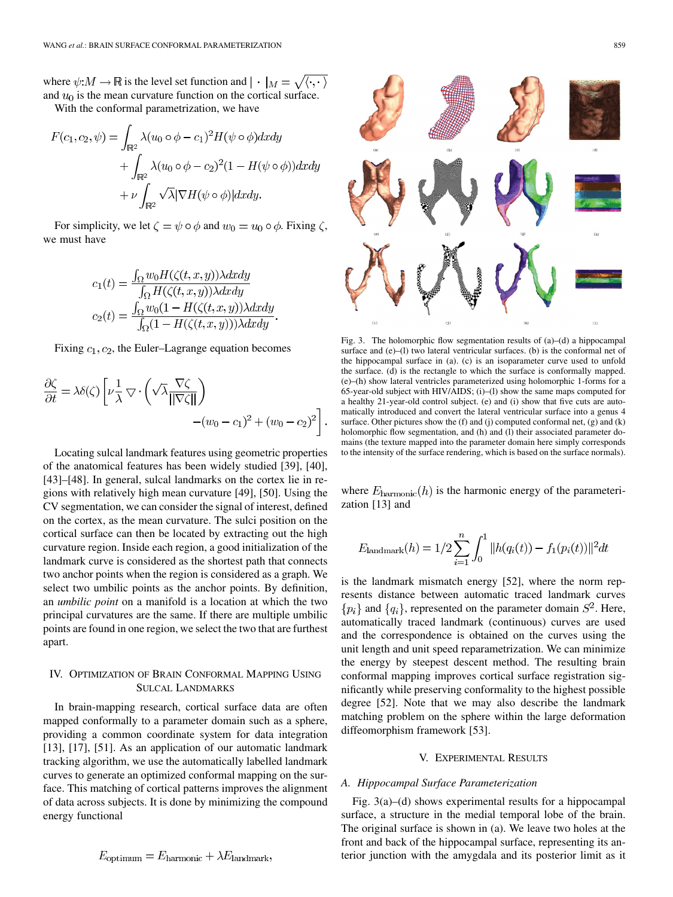where  $\psi: M \to \mathbb{R}$  is the level set function and  $|\cdot|_M = \sqrt{\langle \cdot, \cdot \rangle}$ and  $u_0$  is the mean curvature function on the cortical surface.

With the conformal parametrization, we have

$$
F(c_1, c_2, \psi) = \int_{\mathbb{R}^2} \lambda (u_0 \circ \phi - c_1)^2 H(\psi \circ \phi) dxdy
$$
  
+ 
$$
\int_{\mathbb{R}^2} \lambda (u_0 \circ \phi - c_2)^2 (1 - H(\psi \circ \phi)) dxdy
$$
  
+ 
$$
\nu \int_{\mathbb{R}^2} \sqrt{\lambda} |\nabla H(\psi \circ \phi)| dxdy.
$$

For simplicity, we let  $\zeta = \psi \circ \phi$  and  $w_0 = u_0 \circ \phi$ . Fixing  $\zeta$ , we must have

$$
c_1(t) = \frac{\int_{\Omega} w_0 H(\zeta(t, x, y)) \lambda dx dy}{\int_{\Omega} H(\zeta(t, x, y)) \lambda dx dy}
$$

$$
c_2(t) = \frac{\int_{\Omega} w_0 (1 - H(\zeta(t, x, y)) \lambda dx dy}{\int_{\Omega} (1 - H(\zeta(t, x, y))) \lambda dx dy}.
$$

Fixing  $c_1, c_2$ , the Euler–Lagrange equation becomes

$$
\frac{\partial \zeta}{\partial t} = \lambda \delta(\zeta) \left[ \nu \frac{1}{\lambda} \nabla \cdot \left( \sqrt{\lambda} \frac{\nabla \zeta}{\|\nabla \zeta\|} \right) - (w_0 - c_1)^2 + (w_0 - c_2)^2 \right].
$$

Locating sulcal landmark features using geometric properties of the anatomical features has been widely studied [39], [40], [43]–[48]. In general, sulcal landmarks on the cortex lie in regions with relatively high mean curvature [49], [50]. Using the CV segmentation, we can consider the signal of interest, defined on the cortex, as the mean curvature. The sulci position on the cortical surface can then be located by extracting out the high curvature region. Inside each region, a good initialization of the landmark curve is considered as the shortest path that connects two anchor points when the region is considered as a graph. We select two umbilic points as the anchor points. By definition, an *umbilic point* on a manifold is a location at which the two principal curvatures are the same. If there are multiple umbilic points are found in one region, we select the two that are furthest apart.

# IV. OPTIMIZATION OF BRAIN CONFORMAL MAPPING USING SULCAL LANDMARKS

In brain-mapping research, cortical surface data are often mapped conformally to a parameter domain such as a sphere, providing a common coordinate system for data integration [13], [17], [51]. As an application of our automatic landmark tracking algorithm, we use the automatically labelled landmark curves to generate an optimized conformal mapping on the surface. This matching of cortical patterns improves the alignment of data across subjects. It is done by minimizing the compound energy functional

$$
E_{\text{optimum}} = E_{\text{harmonic}} + \lambda E_{\text{landmark}},
$$



Fig. 3. The holomorphic flow segmentation results of (a)–(d) a hippocampal surface and  $(e)$ –(1) two lateral ventricular surfaces. (b) is the conformal net of the hippocampal surface in (a). (c) is an isoparameter curve used to unfold the surface. (d) is the rectangle to which the surface is conformally mapped. (e)–(h) show lateral ventricles parameterized using holomorphic 1-forms for a 65-year-old subject with HIV/AIDS; (i)–(l) show the same maps computed for a healthy 21-year-old control subject. (e) and (i) show that five cuts are automatically introduced and convert the lateral ventricular surface into a genus 4 surface. Other pictures show the  $(f)$  and  $(j)$  computed conformal net,  $(g)$  and  $(k)$ holomorphic flow segmentation, and (h) and (l) their associated parameter domains (the texture mapped into the parameter domain here simply corresponds to the intensity of the surface rendering, which is based on the surface normals).

where  $E_{\text{harmonic}}(h)$  is the harmonic energy of the parameterization [13] and

$$
E_{\text{landmark}}(h) = 1/2 \sum_{i=1}^{n} \int_{0}^{1} ||h(q_i(t)) - f_1(p_i(t))||^2 dt
$$

is the landmark mismatch energy [52], where the norm represents distance between automatic traced landmark curves  $\{p_i\}$  and  $\{q_i\}$ , represented on the parameter domain  $S^2$ . Here, automatically traced landmark (continuous) curves are used and the correspondence is obtained on the curves using the unit length and unit speed reparametrization. We can minimize the energy by steepest descent method. The resulting brain conformal mapping improves cortical surface registration significantly while preserving conformality to the highest possible degree [52]. Note that we may also describe the landmark matching problem on the sphere within the large deformation diffeomorphism framework [53].

## V. EXPERIMENTAL RESULTS

## *A. Hippocampal Surface Parameterization*

Fig. 3(a)–(d) shows experimental results for a hippocampal surface, a structure in the medial temporal lobe of the brain. The original surface is shown in (a). We leave two holes at the front and back of the hippocampal surface, representing its anterior junction with the amygdala and its posterior limit as it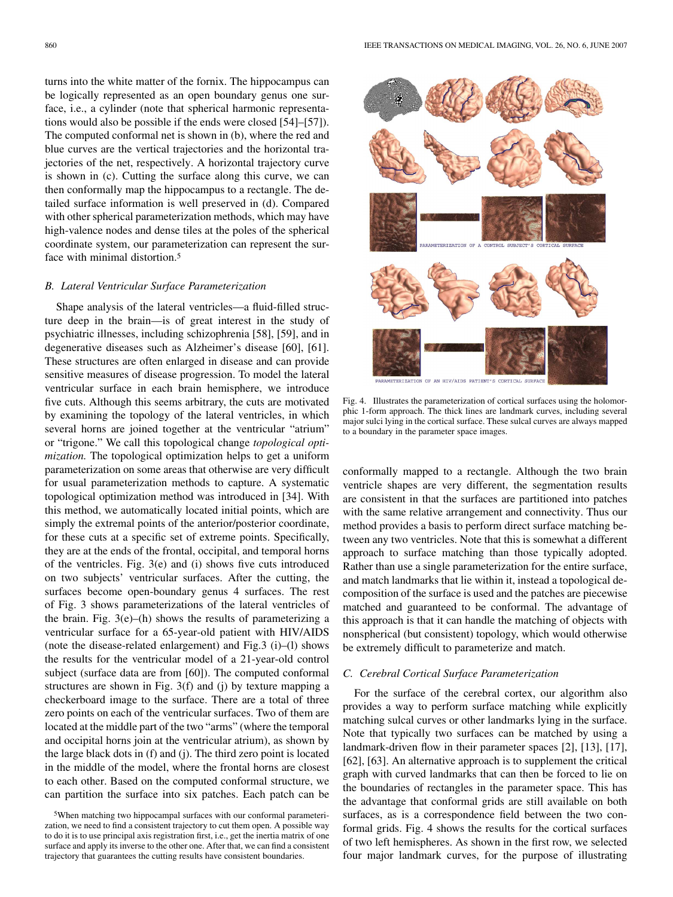turns into the white matter of the fornix. The hippocampus can be logically represented as an open boundary genus one surface, i.e., a cylinder (note that spherical harmonic representations would also be possible if the ends were closed [54]–[57]). The computed conformal net is shown in (b), where the red and blue curves are the vertical trajectories and the horizontal trajectories of the net, respectively. A horizontal trajectory curve is shown in (c). Cutting the surface along this curve, we can then conformally map the hippocampus to a rectangle. The detailed surface information is well preserved in (d). Compared with other spherical parameterization methods, which may have high-valence nodes and dense tiles at the poles of the spherical coordinate system, our parameterization can represent the surface with minimal distortion.5

# *B. Lateral Ventricular Surface Parameterization*

Shape analysis of the lateral ventricles—a fluid-filled structure deep in the brain—is of great interest in the study of psychiatric illnesses, including schizophrenia [58], [59], and in degenerative diseases such as Alzheimer's disease [60], [61]. These structures are often enlarged in disease and can provide sensitive measures of disease progression. To model the lateral ventricular surface in each brain hemisphere, we introduce five cuts. Although this seems arbitrary, the cuts are motivated by examining the topology of the lateral ventricles, in which several horns are joined together at the ventricular "atrium" or "trigone." We call this topological change *topological optimization.* The topological optimization helps to get a uniform parameterization on some areas that otherwise are very difficult for usual parameterization methods to capture. A systematic topological optimization method was introduced in [34]. With this method, we automatically located initial points, which are simply the extremal points of the anterior/posterior coordinate, for these cuts at a specific set of extreme points. Specifically, they are at the ends of the frontal, occipital, and temporal horns of the ventricles. Fig. 3(e) and (i) shows five cuts introduced on two subjects' ventricular surfaces. After the cutting, the surfaces become open-boundary genus 4 surfaces. The rest of Fig. 3 shows parameterizations of the lateral ventricles of the brain. Fig. 3(e)–(h) shows the results of parameterizing a ventricular surface for a 65-year-old patient with HIV/AIDS (note the disease-related enlargement) and Fig.3 (i)–(l) shows the results for the ventricular model of a 21-year-old control subject (surface data are from [60]). The computed conformal structures are shown in Fig. 3(f) and (j) by texture mapping a checkerboard image to the surface. There are a total of three zero points on each of the ventricular surfaces. Two of them are located at the middle part of the two "arms" (where the temporal and occipital horns join at the ventricular atrium), as shown by the large black dots in (f) and (j). The third zero point is located in the middle of the model, where the frontal horns are closest to each other. Based on the computed conformal structure, we can partition the surface into six patches. Each patch can be



TERIZATION OF AN HIV/AIDS PATIENT'S CORTICAL SURFA

Fig. 4. Illustrates the parameterization of cortical surfaces using the holomorphic 1-form approach. The thick lines are landmark curves, including several major sulci lying in the cortical surface. These sulcal curves are always mapped to a boundary in the parameter space images.

conformally mapped to a rectangle. Although the two brain ventricle shapes are very different, the segmentation results are consistent in that the surfaces are partitioned into patches with the same relative arrangement and connectivity. Thus our method provides a basis to perform direct surface matching between any two ventricles. Note that this is somewhat a different approach to surface matching than those typically adopted. Rather than use a single parameterization for the entire surface, and match landmarks that lie within it, instead a topological decomposition of the surface is used and the patches are piecewise matched and guaranteed to be conformal. The advantage of this approach is that it can handle the matching of objects with nonspherical (but consistent) topology, which would otherwise be extremely difficult to parameterize and match.

## *C. Cerebral Cortical Surface Parameterization*

For the surface of the cerebral cortex, our algorithm also provides a way to perform surface matching while explicitly matching sulcal curves or other landmarks lying in the surface. Note that typically two surfaces can be matched by using a landmark-driven flow in their parameter spaces [2], [13], [17], [62], [63]. An alternative approach is to supplement the critical graph with curved landmarks that can then be forced to lie on the boundaries of rectangles in the parameter space. This has the advantage that conformal grids are still available on both surfaces, as is a correspondence field between the two conformal grids. Fig. 4 shows the results for the cortical surfaces of two left hemispheres. As shown in the first row, we selected four major landmark curves, for the purpose of illustrating

<sup>5</sup>When matching two hippocampal surfaces with our conformal parameterization, we need to find a consistent trajectory to cut them open. A possible way to do it is to use principal axis registration first, i.e., get the inertia matrix of one surface and apply its inverse to the other one. After that, we can find a consistent trajectory that guarantees the cutting results have consistent boundaries.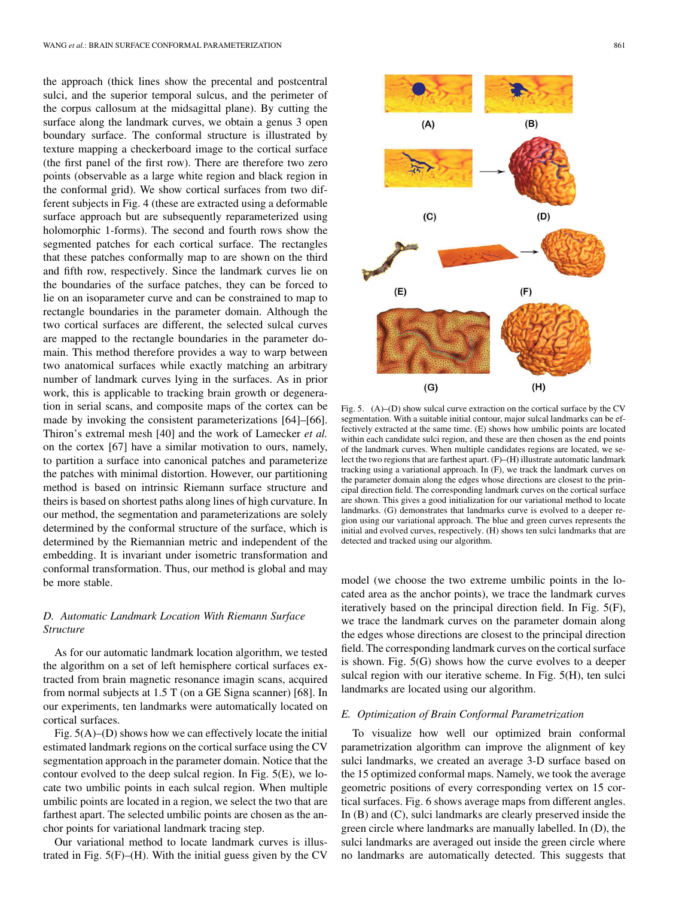the approach (thick lines show the precental and postcentral sulci, and the superior temporal sulcus, and the perimeter of the corpus callosum at the midsagittal plane). By cutting the surface along the landmark curves, we obtain a genus 3 open boundary surface. The conformal structure is illustrated by texture mapping a checkerboard image to the cortical surface (the first panel of the first row). There are therefore two zero points (observable as a large white region and black region in the conformal grid). We show cortical surfaces from two different subjects in Fig. 4 (these are extracted using a deformable surface approach but are subsequently reparameterized using holomorphic 1-forms). The second and fourth rows show the segmented patches for each cortical surface. The rectangles that these patches conformally map to are shown on the third and fifth row, respectively. Since the landmark curves lie on the boundaries of the surface patches, they can be forced to lie on an isoparameter curve and can be constrained to map to rectangle boundaries in the parameter domain. Although the two cortical surfaces are different, the selected sulcal curves are mapped to the rectangle boundaries in the parameter domain. This method therefore provides a way to warp between two anatomical surfaces while exactly matching an arbitrary number of landmark curves lying in the surfaces. As in prior work, this is applicable to tracking brain growth or degeneration in serial scans, and composite maps of the cortex can be made by invoking the consistent parameterizations [64]–[66]. Thiron's extremal mesh [40] and the work of Lamecker *et al.* on the cortex [67] have a similar motivation to ours, namely, to partition a surface into canonical patches and parameterize the patches with minimal distortion. However, our partitioning method is based on intrinsic Riemann surface structure and theirs is based on shortest paths along lines of high curvature. In our method, the segmentation and parameterizations are solely determined by the conformal structure of the surface, which is determined by the Riemannian metric and independent of the embedding. It is invariant under isometric transformation and conformal transformation. Thus, our method is global and may be more stable.

# *D. Automatic Landmark Location With Riemann Surface Structure*

As for our automatic landmark location algorithm, we tested the algorithm on a set of left hemisphere cortical surfaces extracted from brain magnetic resonance imagin scans, acquired from normal subjects at 1.5 T (on a GE Signa scanner) [68]. In our experiments, ten landmarks were automatically located on cortical surfaces.

Fig. 5(A)–(D) shows how we can effectively locate the initial estimated landmark regions on the cortical surface using the CV segmentation approach in the parameter domain. Notice that the contour evolved to the deep sulcal region. In Fig. 5(E), we locate two umbilic points in each sulcal region. When multiple umbilic points are located in a region, we select the two that are farthest apart. The selected umbilic points are chosen as the anchor points for variational landmark tracing step.

Our variational method to locate landmark curves is illustrated in Fig.  $5(F)$ –(H). With the initial guess given by the CV



Fig. 5. (A)–(D) show sulcal curve extraction on the cortical surface by the CV segmentation. With a suitable initial contour, major sulcal landmarks can be effectively extracted at the same time. (E) shows how umbilic points are located within each candidate sulci region, and these are then chosen as the end points of the landmark curves. When multiple candidates regions are located, we select the two regions that are farthest apart. (F)–(H) illustrate automatic landmark tracking using a variational approach. In (F), we track the landmark curves on the parameter domain along the edges whose directions are closest to the principal direction field. The corresponding landmark curves on the cortical surface are shown. This gives a good initialization for our variational method to locate landmarks. (G) demonstrates that landmarks curve is evolved to a deeper region using our variational approach. The blue and green curves represents the initial and evolved curves, respectively. (H) shows ten sulci landmarks that are detected and tracked using our algorithm.

model (we choose the two extreme umbilic points in the located area as the anchor points), we trace the landmark curves iteratively based on the principal direction field. In Fig. 5(F), we trace the landmark curves on the parameter domain along the edges whose directions are closest to the principal direction field. The corresponding landmark curves on the cortical surface is shown. Fig. 5(G) shows how the curve evolves to a deeper sulcal region with our iterative scheme. In Fig. 5(H), ten sulci landmarks are located using our algorithm.

## *E. Optimization of Brain Conformal Parametrization*

To visualize how well our optimized brain conformal parametrization algorithm can improve the alignment of key sulci landmarks, we created an average 3-D surface based on the 15 optimized conformal maps. Namely, we took the average geometric positions of every corresponding vertex on 15 cortical surfaces. Fig. 6 shows average maps from different angles. In (B) and (C), sulci landmarks are clearly preserved inside the green circle where landmarks are manually labelled. In (D), the sulci landmarks are averaged out inside the green circle where no landmarks are automatically detected. This suggests that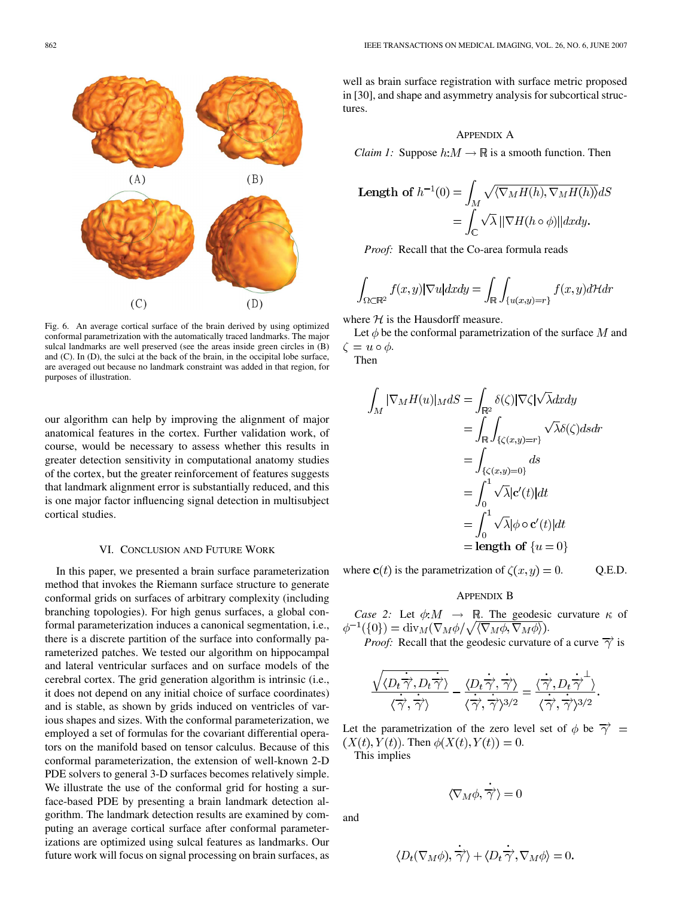

Fig. 6. An average cortical surface of the brain derived by using optimized conformal parametrization with the automatically traced landmarks. The major sulcal landmarks are well preserved (see the areas inside green circles in (B) and (C). In (D), the sulci at the back of the brain, in the occipital lobe surface, are averaged out because no landmark constraint was added in that region, for purposes of illustration.

our algorithm can help by improving the alignment of major anatomical features in the cortex. Further validation work, of course, would be necessary to assess whether this results in greater detection sensitivity in computational anatomy studies of the cortex, but the greater reinforcement of features suggests that landmark alignment error is substantially reduced, and this is one major factor influencing signal detection in multisubject cortical studies.

## VI. CONCLUSION AND FUTURE WORK

In this paper, we presented a brain surface parameterization method that invokes the Riemann surface structure to generate conformal grids on surfaces of arbitrary complexity (including branching topologies). For high genus surfaces, a global conformal parameterization induces a canonical segmentation, i.e., there is a discrete partition of the surface into conformally parameterized patches. We tested our algorithm on hippocampal and lateral ventricular surfaces and on surface models of the cerebral cortex. The grid generation algorithm is intrinsic (i.e., it does not depend on any initial choice of surface coordinates) and is stable, as shown by grids induced on ventricles of various shapes and sizes. With the conformal parameterization, we employed a set of formulas for the covariant differential operators on the manifold based on tensor calculus. Because of this conformal parameterization, the extension of well-known 2-D PDE solvers to general 3-D surfaces becomes relatively simple. We illustrate the use of the conformal grid for hosting a surface-based PDE by presenting a brain landmark detection algorithm. The landmark detection results are examined by computing an average cortical surface after conformal parameterizations are optimized using sulcal features as landmarks. Our future work will focus on signal processing on brain surfaces, as

well as brain surface registration with surface metric proposed in [30], and shape and asymmetry analysis for subcortical structures.

**APPENDIX A**

\n*Claim 1:* Suppose 
$$
h: M → \mathbb{R}
$$
 is a smooth function. Then

Length of 
$$
h^{-1}(0) = \int_M \sqrt{\langle \nabla_M H(h), \nabla_M H(h) \rangle} dS
$$
  
=  $\int_{\mathbb{C}} \sqrt{\lambda} ||\nabla H(h \circ \phi)|| dxdy.$ 

*Proof:* Recall that the Co-area formula reads

$$
\int_{\Omega \subset \mathbb{R}^2} f(x, y) |\nabla u| dx dy = \int_{\mathbb{R}} \int_{\{u(x, y) = r\}} f(x, y) d\mathcal{H} dy
$$

where  $H$  is the Hausdorff measure.

Let  $\phi$  be the conformal parametrization of the surface M and  $\zeta = u \circ \phi$ .

Then

$$
\int_{M} |\nabla_{M} H(u)|_{M} dS = \int_{\mathbb{R}^{2}} \delta(\zeta) |\nabla \zeta| \sqrt{\lambda} dx dy
$$

$$
= \int_{\mathbb{R}} \int_{\{\zeta(x,y)=r\}} \sqrt{\lambda} \delta(\zeta) ds dr
$$

$$
= \int_{\{\zeta(x,y)=0\}} ds
$$

$$
= \int_{0}^{1} \sqrt{\lambda} |\mathbf{c}'(t)| dt
$$

$$
= \int_{0}^{1} \sqrt{\lambda} |\phi \circ \mathbf{c}'(t)| dt
$$

$$
= \text{length of } \{u = 0\}
$$

where  $\mathbf{c}(t)$  is the parametrization of  $\zeta(x, y) = 0$ . Q.E.D.

#### APPENDIX B

*Case 2:* Let  $\phi: M \rightarrow \mathbb{R}$ . The geodesic curvature  $\kappa$  of  $\phi^{-1}(\{0\}) = \text{div}_M(\nabla_M \phi / \sqrt{\langle \nabla_M \phi, \nabla_M \phi \rangle}).$ 

*Proof:* Recall that the geodesic curvature of a curve  $\overrightarrow{\gamma}$  is

$$
\frac{\sqrt{\langle D_t \overrightarrow{\gamma}, D_t \overrightarrow{\gamma} \rangle}}{\langle \overrightarrow{\gamma}, \overrightarrow{\gamma} \rangle} - \frac{\langle D_t \overrightarrow{\gamma}, \overrightarrow{\gamma} \rangle}{\langle \overrightarrow{\gamma}, \overrightarrow{\gamma} \rangle^{3/2}} = \frac{\langle \overrightarrow{\gamma}, D_t \overrightarrow{\gamma}^{\perp} \rangle}{\langle \overrightarrow{\gamma}, \overrightarrow{\gamma} \rangle^{3/2}}
$$

Let the parametrization of the zero level set of  $\phi$  be  $\overrightarrow{\gamma}$  =  $(X(t), Y(t))$ . Then  $\phi(X(t), Y(t)) = 0$ .

This implies

$$
\langle \nabla_M \phi, \overrightarrow{\gamma} \rangle = 0
$$

and

$$
\langle D_t(\nabla_M \phi), \dot{\overrightarrow{\gamma}} \rangle + \langle D_t \dot{\overrightarrow{\gamma}}, \nabla_M \phi \rangle = 0
$$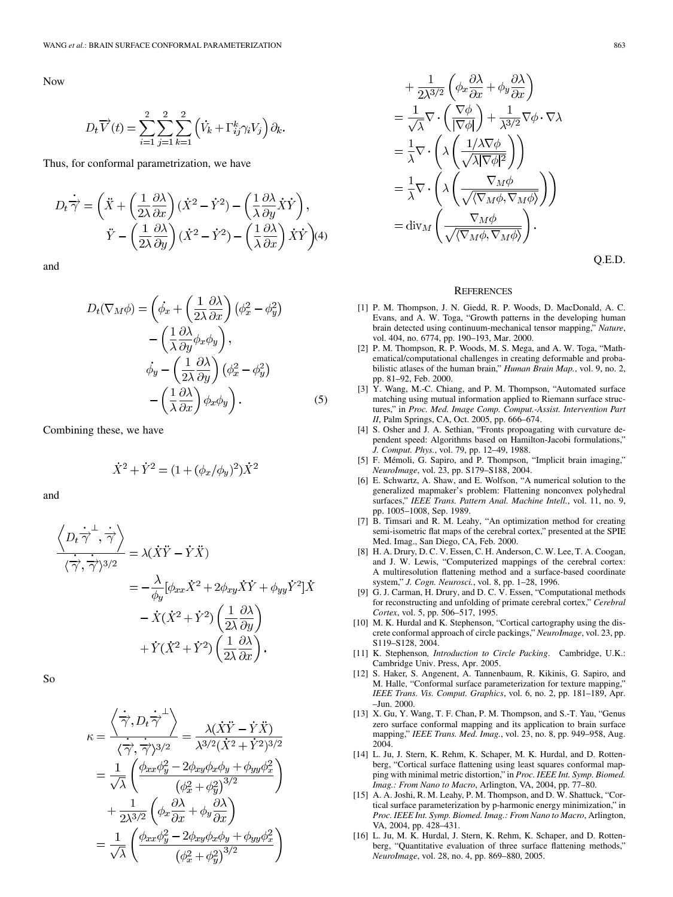Now

$$
D_t \overrightarrow{V}(t) = \sum_{i=1}^2 \sum_{j=1}^2 \sum_{k=1}^2 \left( \dot{V}_k + \Gamma^k_{ij} \gamma_i V_j \right) \partial_k.
$$

Thus, for conformal parametrization, we have

$$
D_t \dot{\overrightarrow{\gamma}} = \left(\ddot{X} + \left(\frac{1}{2\lambda} \frac{\partial \lambda}{\partial x}\right)(\dot{X}^2 - \dot{Y}^2) - \left(\frac{1}{\lambda} \frac{\partial \lambda}{\partial y} \dot{X} \dot{Y}\right),\n\dot{Y} - \left(\frac{1}{2\lambda} \frac{\partial \lambda}{\partial y}\right)(\dot{X}^2 - \dot{Y}^2) - \left(\frac{1}{\lambda} \frac{\partial \lambda}{\partial x}\right)\dot{X} \dot{Y}\right)\n(4)
$$

and

$$
D_t(\nabla_M \phi) = \left(\dot{\phi}_x + \left(\frac{1}{2\lambda} \frac{\partial \lambda}{\partial x}\right) (\phi_x^2 - \phi_y^2) - \left(\frac{1}{\lambda} \frac{\partial \lambda}{\partial y} \phi_x \phi_y\right),\right.\n\dot{\phi}_y - \left(\frac{1}{2\lambda} \frac{\partial \lambda}{\partial y}\right) (\phi_x^2 - \phi_y^2) - \left(\frac{1}{\lambda} \frac{\partial \lambda}{\partial x}\right) \phi_x \phi_y \Big).
$$
\n(5)

Combining these, we have

$$
\dot{X}^2 + \dot{Y}^2 = (1 + (\phi_x/\phi_y)^2) \dot{X}^2
$$

and

$$
\frac{\left\langle D_t \dot{\overrightarrow{\gamma}}^{\perp}, \dot{\overrightarrow{\gamma}} \right\rangle}{\left\langle \dot{\overrightarrow{\gamma}}, \dot{\overrightarrow{\gamma}} \right\rangle^{3/2}} = \lambda (\dot{X}\ddot{Y} - \dot{Y}\ddot{X})
$$
  
\n
$$
= -\frac{\lambda}{\phi_y} [\phi_{xx}\dot{X}^2 + 2\phi_{xy}\dot{X}\dot{Y} + \phi_{yy}\dot{Y}^2] \dot{X}
$$
  
\n
$$
- \dot{X}(\dot{X}^2 + \dot{Y}^2) \left(\frac{1}{2\lambda} \frac{\partial \lambda}{\partial y}\right)
$$
  
\n
$$
+ \dot{Y}(\dot{X}^2 + \dot{Y}^2) \left(\frac{1}{2\lambda} \frac{\partial \lambda}{\partial x}\right).
$$

So

$$
\kappa = \frac{\left\langle \dot{\overrightarrow{\gamma}}, D_t \dot{\overrightarrow{\gamma}}^{\perp} \right\rangle}{\left\langle \dot{\overrightarrow{\gamma}}, \dot{\overrightarrow{\gamma}} \right\rangle^{3/2}} = \frac{\lambda(\dot{X}\ddot{Y} - \dot{Y}\ddot{X})}{\lambda^{3/2}(\dot{X}^2 + \dot{Y}^2)^{3/2}}
$$

$$
= \frac{1}{\sqrt{\lambda}} \left( \frac{\phi_{xx}\phi_y^2 - 2\phi_{xy}\phi_x\phi_y + \phi_{yy}\phi_x^2}{\left(\phi_x^2 + \phi_y^2\right)^{3/2}} \right)
$$

$$
+ \frac{1}{2\lambda^{3/2}} \left( \phi_x \frac{\partial \lambda}{\partial x} + \phi_y \frac{\partial \lambda}{\partial x} \right)
$$

$$
= \frac{1}{\sqrt{\lambda}} \left( \frac{\phi_{xx}\phi_y^2 - 2\phi_{xy}\phi_x\phi_y + \phi_{yy}\phi_x^2}{\left(\phi_x^2 + \phi_y^2\right)^{3/2}} \right)
$$

$$
+\frac{1}{2\lambda^{3/2}}\left(\phi_x\frac{\partial\lambda}{\partial x} + \phi_y\frac{\partial\lambda}{\partial x}\right)
$$
  

$$
=\frac{1}{\sqrt{\lambda}}\nabla\cdot\left(\frac{\nabla\phi}{|\nabla\phi|}\right) + \frac{1}{\lambda^{3/2}}\nabla\phi\cdot\nabla\lambda
$$
  

$$
=\frac{1}{\lambda}\nabla\cdot\left(\lambda\left(\frac{1/\lambda\nabla\phi}{\sqrt{\lambda|\nabla\phi|^2}}\right)\right)
$$
  

$$
=\frac{1}{\lambda}\nabla\cdot\left(\lambda\left(\frac{\nabla_M\phi}{\sqrt{\langle\nabla_M\phi,\nabla_M\phi\rangle}}\right)\right)
$$
  

$$
=\text{div}_M\left(\frac{\nabla_M\phi}{\sqrt{\langle\nabla_M\phi,\nabla_M\phi\rangle}}\right).
$$

Q.E.D.

#### **REFERENCES**

- [1] P. M. Thompson, J. N. Giedd, R. P. Woods, D. MacDonald, A. C. Evans, and A. W. Toga, "Growth patterns in the developing human brain detected using continuum-mechanical tensor mapping," *Nature*, vol. 404, no. 6774, pp. 190–193, Mar. 2000.
- [2] P. M. Thompson, R. P. Woods, M. S. Mega, and A. W. Toga, "Mathematical/computational challenges in creating deformable and probabilistic atlases of the human brain," *Human Brain Map.*, vol. 9, no. 2, pp. 81–92, Feb. 2000.
- [3] Y. Wang, M.-C. Chiang, and P. M. Thompson, "Automated surface matching using mutual information applied to Riemann surface structures," in *Proc. Med. Image Comp. Comput.-Assist. Intervention Part II*, Palm Springs, CA, Oct. 2005, pp. 666–674.
- [4] S. Osher and J. A. Sethian, "Fronts propoagating with curvature dependent speed: Algorithms based on Hamilton-Jacobi formulations," *J. Comput. Phys.*, vol. 79, pp. 12–49, 1988.
- [5] F. Mémoli, G. Sapiro, and P. Thompson, "Implicit brain imaging," *NeuroImage*, vol. 23, pp. S179–S188, 2004.
- [6] E. Schwartz, A. Shaw, and E. Wolfson, "A numerical solution to the generalized mapmaker's problem: Flattening nonconvex polyhedral surfaces," *IEEE Trans. Pattern Anal. Machine Intell.*, vol. 11, no. 9, pp. 1005–1008, Sep. 1989.
- [7] B. Timsari and R. M. Leahy, "An optimization method for creating semi-isometric flat maps of the cerebral cortex," presented at the SPIE Med. Imag., San Diego, CA, Feb. 2000.
- [8] H. A. Drury, D. C. V. Essen, C. H. Anderson, C. W. Lee, T. A. Coogan, and J. W. Lewis, "Computerized mappings of the cerebral cortex: A multiresolution flattening method and a surface-based coordinate system," *J. Cogn. Neurosci.*, vol. 8, pp. 1–28, 1996.
- [9] G. J. Carman, H. Drury, and D. C. V. Essen, "Computational methods for reconstructing and unfolding of primate cerebral cortex," *Cerebral Cortex*, vol. 5, pp. 506–517, 1995.
- [10] M. K. Hurdal and K. Stephenson, "Cortical cartography using the discrete conformal approach of circle packings," *NeuroImage*, vol. 23, pp. S119–S128, 2004.
- [11] K. Stephenson*, Introduction to Circle Packing*. Cambridge, U.K.: Cambridge Univ. Press, Apr. 2005.
- [12] S. Haker, S. Angenent, A. Tannenbaum, R. Kikinis, G. Sapiro, and M. Halle, "Conformal surface parameterization for texture mapping," *IEEE Trans. Vis. Comput. Graphics*, vol. 6, no. 2, pp. 181–189, Apr. –Jun. 2000.
- [13] X. Gu, Y. Wang, T. F. Chan, P. M. Thompson, and S.-T. Yau, "Genus zero surface conformal mapping and its application to brain surface mapping," *IEEE Trans. Med. Imag.*, vol. 23, no. 8, pp. 949–958, Aug. 2004.
- [14] L. Ju, J. Stern, K. Rehm, K. Schaper, M. K. Hurdal, and D. Rottenberg, "Cortical surface flattening using least squares conformal mapping with minimal metric distortion," in *Proc. IEEE Int. Symp. Biomed. Imag.: From Nano to Macro*, Arlington, VA, 2004, pp. 77–80.
- [15] A. A. Joshi, R. M. Leahy, P. M. Thompson, and D. W. Shattuck, "Cortical surface parameterization by p-harmonic energy minimization," in *Proc. IEEE Int. Symp. Biomed. Imag.: From Nano to Macro*, Arlington, VA, 2004, pp. 428–431.
- [16] L. Ju, M. K. Hurdal, J. Stern, K. Rehm, K. Schaper, and D. Rottenberg, "Quantitative evaluation of three surface flattening methods," *NeuroImage*, vol. 28, no. 4, pp. 869–880, 2005.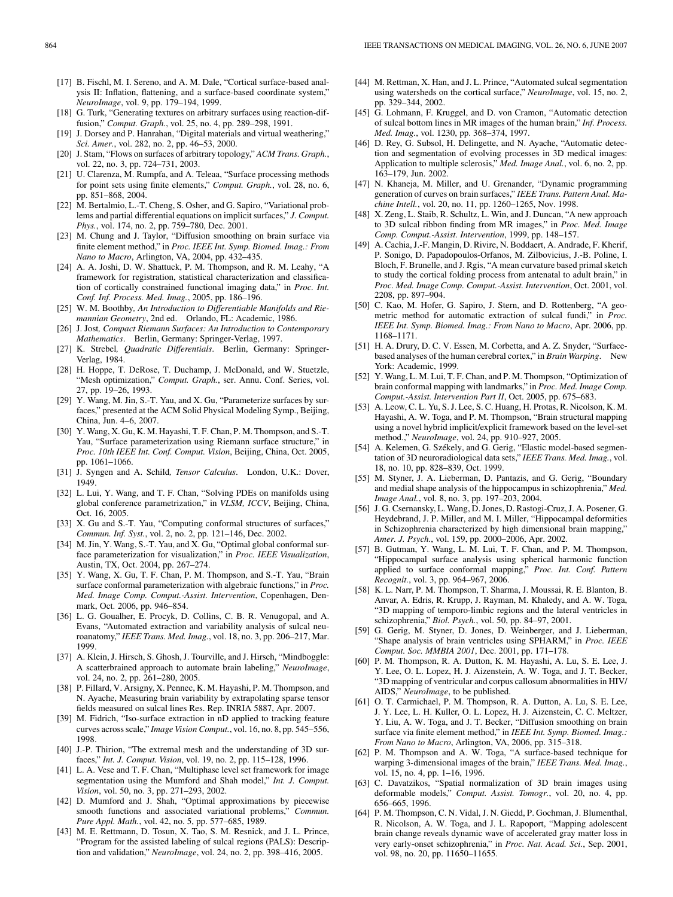- [17] B. Fischl, M. I. Sereno, and A. M. Dale, "Cortical surface-based analysis II: Inflation, flattening, and a surface-based coordinate system," *NeuroImage*, vol. 9, pp. 179–194, 1999.
- [18] G. Turk, "Generating textures on arbitrary surfaces using reaction-diffusion," *Comput. Graph.*, vol. 25, no. 4, pp. 289–298, 1991.
- [19] J. Dorsey and P. Hanrahan, "Digital materials and virtual weathering," *Sci. Amer.*, vol. 282, no. 2, pp. 46–53, 2000.
- [20] J. Stam, "Flows on surfaces of arbitrary topology," *ACM Trans. Graph.*, vol. 22, no. 3, pp. 724–731, 2003.
- [21] U. Clarenza, M. Rumpfa, and A. Teleaa, "Surface processing methods for point sets using finite elements," *Comput. Graph.*, vol. 28, no. 6, pp. 851–868, 2004.
- [22] M. Bertalmio, L.-T. Cheng, S. Osher, and G. Sapiro, "Variational problems and partial differential equations on implicit surfaces," *J. Comput. Phys.*, vol. 174, no. 2, pp. 759–780, Dec. 2001.
- [23] M. Chung and J. Taylor, "Diffusion smoothing on brain surface via finite element method," in *Proc. IEEE Int. Symp. Biomed. Imag.: From Nano to Macro*, Arlington, VA, 2004, pp. 432–435.
- [24] A. A. Joshi, D. W. Shattuck, P. M. Thompson, and R. M. Leahy, "A framework for registration, statistical characterization and classification of cortically constrained functional imaging data," in *Proc. Int. Conf. Inf. Process. Med. Imag.*, 2005, pp. 186–196.
- [25] W. M. Boothby, An Introduction to Differentiable Manifolds and Rie*mannian Geometry*, 2nd ed. Orlando, FL: Academic, 1986.
- [26] J. Jost*, Compact Riemann Surfaces: An Introduction to Contemporary Mathematics*. Berlin, Germany: Springer-Verlag, 1997.
- [27] K. Strebel*, Quadratic Differentials*. Berlin, Germany: Springer-Verlag, 1984.
- [28] H. Hoppe, T. DeRose, T. Duchamp, J. McDonald, and W. Stuetzle, "Mesh optimization," *Comput. Graph.*, ser. Annu. Conf. Series, vol. 27, pp. 19–26, 1993.
- [29] Y. Wang, M. Jin, S.-T. Yau, and X. Gu, "Parameterize surfaces by surfaces," presented at the ACM Solid Physical Modeling Symp., Beijing, China, Jun. 4–6, 2007.
- [30] Y. Wang, X. Gu, K. M. Hayashi, T. F. Chan, P. M. Thompson, and S.-T. Yau, "Surface parameterization using Riemann surface structure," in *Proc. 10th IEEE Int. Conf. Comput. Vision*, Beijing, China, Oct. 2005, pp. 1061–1066.
- [31] J. Syngen and A. Schild*, Tensor Calculus*. London, U.K.: Dover, 1949.
- [32] L. Lui, Y. Wang, and T. F. Chan, "Solving PDEs on manifolds using global conference parametrization," in *VLSM, ICCV*, Beijing, China, Oct. 16, 2005.
- [33] X. Gu and S.-T. Yau, "Computing conformal structures of surfaces," *Commun. Inf. Syst.*, vol. 2, no. 2, pp. 121–146, Dec. 2002.
- [34] M. Jin, Y. Wang, S.-T. Yau, and X. Gu, "Optimal global conformal surface parameterization for visualization," in *Proc. IEEE Visualization*, Austin, TX, Oct. 2004, pp. 267–274.
- [35] Y. Wang, X. Gu, T. F. Chan, P. M. Thompson, and S.-T. Yau, "Brain surface conformal parameterization with algebraic functions," in *Proc. Med. Image Comp. Comput.-Assist. Intervention*, Copenhagen, Denmark, Oct. 2006, pp. 946–854.
- [36] L. G. Goualher, E. Procyk, D. Collins, C. B. R. Venugopal, and A. Evans, "Automated extraction and variability analysis of sulcal neuroanatomy," *IEEE Trans. Med. Imag.*, vol. 18, no. 3, pp. 206–217, Mar. 1999.
- [37] A. Klein, J. Hirsch, S. Ghosh, J. Tourville, and J. Hirsch, "Mindboggle: A scatterbrained approach to automate brain labeling," *NeuroImage*, vol. 24, no. 2, pp. 261–280, 2005.
- [38] P. Fillard, V. Arsigny, X. Pennec, K. M. Hayashi, P. M. Thompson, and N. Ayache, Measuring brain variability by extrapolating sparse tensor fields measured on sulcal lines Res. Rep. INRIA 5887, Apr. 2007.
- [39] M. Fidrich, "Iso-surface extraction in nD applied to tracking feature curves across scale," *Image Vision Comput.*, vol. 16, no. 8, pp. 545–556, 1998.
- [40] J.-P. Thirion, "The extremal mesh and the understanding of 3D surfaces," *Int. J. Comput. Vision*, vol. 19, no. 2, pp. 115–128, 1996.
- [41] L. A. Vese and T. F. Chan, "Multiphase level set framework for image segmentation using the Mumford and Shah model," *Int. J. Comput. Vision*, vol. 50, no. 3, pp. 271–293, 2002.
- [42] D. Mumford and J. Shah, "Optimal approximations by piecewise smooth functions and associated variational problems," *Commun. Pure Appl. Math.*, vol. 42, no. 5, pp. 577–685, 1989.
- [43] M. E. Rettmann, D. Tosun, X. Tao, S. M. Resnick, and J. L. Prince, "Program for the assisted labeling of sulcal regions (PALS): Description and validation," *NeuroImage*, vol. 24, no. 2, pp. 398–416, 2005.
- [44] M. Rettman, X. Han, and J. L. Prince, "Automated sulcal segmentation using watersheds on the cortical surface," *NeuroImage*, vol. 15, no. 2, pp. 329–344, 2002.
- [45] G. Lohmann, F. Kruggel, and D. von Cramon, "Automatic detection of sulcal bottom lines in MR images of the human brain," *Inf. Process. Med. Imag.*, vol. 1230, pp. 368–374, 1997.
- [46] D. Rey, G. Subsol, H. Delingette, and N. Ayache, "Automatic detection and segmentation of evolving processes in 3D medical images: Application to multiple sclerosis," *Med. Image Anal.*, vol. 6, no. 2, pp. 163–179, Jun. 2002.
- [47] N. Khaneja, M. Miller, and U. Grenander, "Dynamic programming generation of curves on brain surfaces," *IEEE Trans. Pattern Anal. Machine Intell.*, vol. 20, no. 11, pp. 1260–1265, Nov. 1998.
- [48] X. Zeng, L. Staib, R. Schultz, L. Win, and J. Duncan, "A new approach to 3D sulcal ribbon finding from MR images," in *Proc. Med. Image Comp. Comput.-Assist. Intervention*, 1999, pp. 148–157.
- [49] A. Cachia, J.-F. Mangin, D. Rivire, N. Boddaert, A. Andrade, F. Kherif, P. Sonigo, D. Papadopoulos-Orfanos, M. Zilbovicius, J.-B. Poline, I. Bloch, F. Brunelle, and J. Rgis, "A mean curvature based primal sketch to study the cortical folding process from antenatal to adult brain," in *Proc. Med. Image Comp. Comput.-Assist. Intervention*, Oct. 2001, vol. 2208, pp. 897–904.
- [50] C. Kao, M. Hofer, G. Sapiro, J. Stern, and D. Rottenberg, "A geometric method for automatic extraction of sulcal fundi," in *Proc. IEEE Int. Symp. Biomed. Imag.: From Nano to Macro*, Apr. 2006, pp. 1168–1171.
- [51] H. A. Drury, D. C. V. Essen, M. Corbetta, and A. Z. Snyder, "Surfacebased analyses of the human cerebral cortex," in *Brain Warping*. New York: Academic, 1999.
- [52] Y. Wang, L. M. Lui, T. F. Chan, and P. M. Thompson, "Optimization of brain conformal mapping with landmarks," in *Proc. Med. Image Comp. Comput.-Assist. Intervention Part II*, Oct. 2005, pp. 675–683.
- [53] A. Leow, C. L. Yu, S. J. Lee, S. C. Huang, H. Protas, R. Nicolson, K. M. Hayashi, A. W. Toga, and P. M. Thompson, "Brain structural mapping using a novel hybrid implicit/explicit framework based on the level-set method.," *NeuroImage*, vol. 24, pp. 910–927, 2005.
- [54] A. Kelemen, G. Székely, and G. Gerig, "Elastic model-based segmentation of 3D neuroradiological data sets," *IEEE Trans. Med. Imag.*, vol. 18, no. 10, pp. 828–839, Oct. 1999.
- [55] M. Styner, J. A. Lieberman, D. Pantazis, and G. Gerig, "Boundary and medial shape analysis of the hippocampus in schizophrenia," *Med. Image Anal.*, vol. 8, no. 3, pp. 197–203, 2004.
- [56] J. G. Csernansky, L. Wang, D. Jones, D. Rastogi-Cruz, J. A. Posener, G. Heydebrand, J. P. Miller, and M. I. Miller, "Hippocampal deformities in Schizophrenia characterized by high dimensional brain mapping," *Amer. J. Psych.*, vol. 159, pp. 2000–2006, Apr. 2002.
- [57] B. Gutman, Y. Wang, L. M. Lui, T. F. Chan, and P. M. Thompson, "Hippocampal surface analysis using spherical harmonic function applied to surface conformal mapping," *Proc. Int. Conf. Pattern Recognit.*, vol. 3, pp. 964–967, 2006.
- [58] K. L. Narr, P. M. Thompson, T. Sharma, J. Moussai, R. E. Blanton, B. Anvar, A. Edris, R. Krupp, J. Rayman, M. Khaledy, and A. W. Toga, "3D mapping of temporo-limbic regions and the lateral ventricles in schizophrenia," *Biol. Psych.*, vol. 50, pp. 84–97, 2001.
- [59] G. Gerig, M. Styner, D. Jones, D. Weinberger, and J. Lieberman, "Shape analysis of brain ventricles using SPHARM," in *Proc. IEEE Comput. Soc. MMBIA 2001*, Dec. 2001, pp. 171–178.
- [60] P. M. Thompson, R. A. Dutton, K. M. Hayashi, A. Lu, S. E. Lee, J. Y. Lee, O. L. Lopez, H. J. Aizenstein, A. W. Toga, and J. T. Becker, "3D mapping of ventricular and corpus callosum abnormalities in HIV/ AIDS," *NeuroImage*, to be published.
- [61] O. T. Carmichael, P. M. Thompson, R. A. Dutton, A. Lu, S. E. Lee, J. Y. Lee, L. H. Kuller, O. L. Lopez, H. J. Aizenstein, C. C. Meltzer, Y. Liu, A. W. Toga, and J. T. Becker, "Diffusion smoothing on brain surface via finite element method," in *IEEE Int. Symp. Biomed. Imag.: From Nano to Macro*, Arlington, VA, 2006, pp. 315–318.
- [62] P. M. Thompson and A. W. Toga, "A surface-based technique for warping 3-dimensional images of the brain," *IEEE Trans. Med. Imag.*, vol. 15, no. 4, pp. 1–16, 1996.
- [63] C. Davatzikos, "Spatial normalization of 3D brain images using deformable models," *Comput. Assist. Tomogr.*, vol. 20, no. 4, pp. 656–665, 1996.
- [64] P. M. Thompson, C. N. Vidal, J. N. Giedd, P. Gochman, J. Blumenthal, R. Nicolson, A. W. Toga, and J. L. Rapoport, "Mapping adolescent brain change reveals dynamic wave of accelerated gray matter loss in very early-onset schizophrenia," in *Proc. Nat. Acad. Sci.*, Sep. 2001, vol. 98, no. 20, pp. 11650–11655.